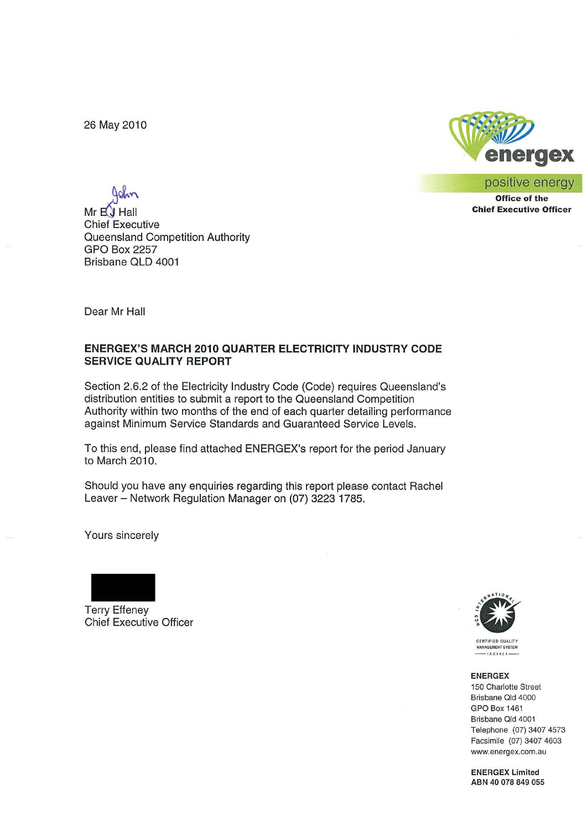26 May 2010



positive energy

**Office of the Chief Executive Officer**

 $Mr<sub>H</sub>$  $H<sub>H</sub>$ Chief Executive Queensland Competition Authority GPO Box 2257 Brisbane QLD 4001

Dear Mr Hall

#### **ENERGEX'S MARCH 2010 QUARTER ELECTRICITY INDUSTRY CODE SERVICE QUALITY REPORT**

Section 2.6.2 of the Electricity Industry Code (Code) requires Queensland's distribution entities to submit a report to the Queensland Competition Authority within two months of the end of each quarter detailing performance against Minimum Service Standards and Guaranteed Service Levels.

To this end, please find attached ENERGEX's report for the period January to March 2010.

Should you have any enquiries regarding this report please contact Rachel Leaver - Network Regulation Manager on (07) 3223 1785.

Yours sincerely



Terry Effeney Chief Executive Officer



**CERTIFIED QUALITY MANAGEMENT SYSTEM** 

#### ENERGEX

**150 Charlotte Street Brisbane aid 4000** GPO Box 1461 **Brisbane Old 4001** Telephone (07) 3407 4573 Facsimile (07) 3407 4603 **www.energex.com.au**

ENERGEX Limited ABN 40 078 849 055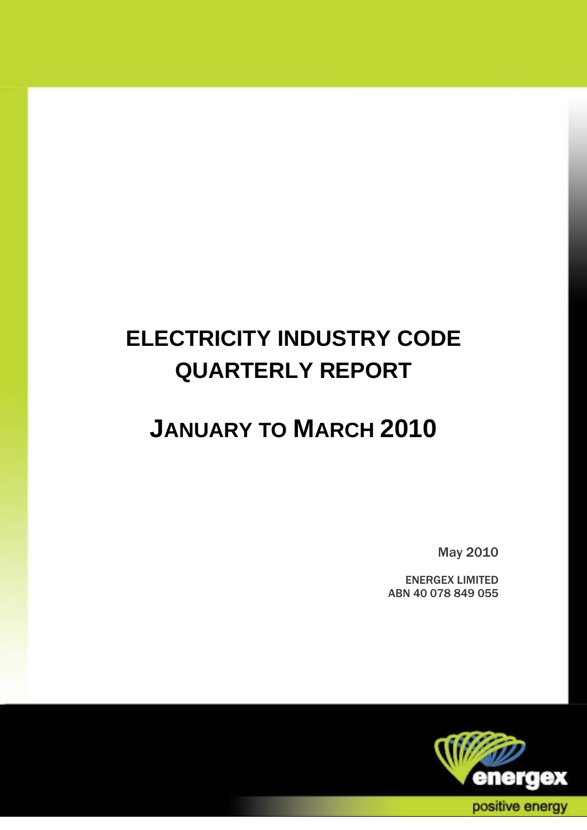# **ELECTRICITY INDUSTRY CODE QUARTERLY REPORT**

# **JANUARY TO MARCH 2010**

May 2010

ENERGEX LIMITED ABN 40 078 849 055

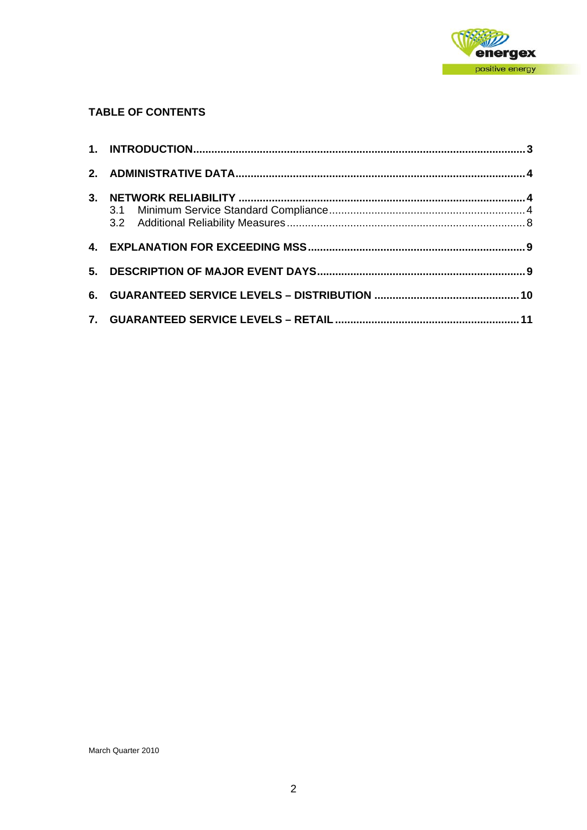

## **TABLE OF CONTENTS**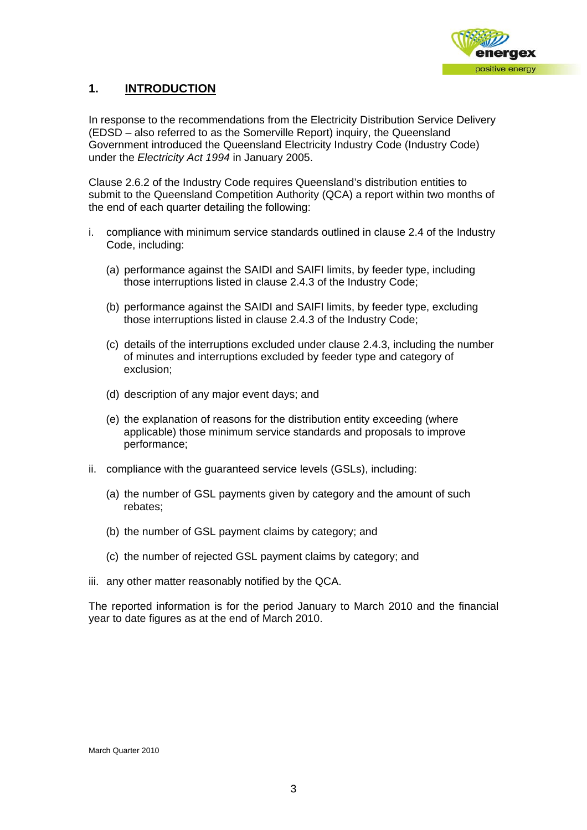

# **1. INTRODUCTION**

In response to the recommendations from the Electricity Distribution Service Delivery (EDSD – also referred to as the Somerville Report) inquiry, the Queensland Government introduced the Queensland Electricity Industry Code (Industry Code) under the *Electricity Act 1994* in January 2005.

Clause 2.6.2 of the Industry Code requires Queensland's distribution entities to submit to the Queensland Competition Authority (QCA) a report within two months of the end of each quarter detailing the following:

- i. compliance with minimum service standards outlined in clause 2.4 of the Industry Code, including:
	- (a) performance against the SAIDI and SAIFI limits, by feeder type, including those interruptions listed in clause 2.4.3 of the Industry Code;
	- (b) performance against the SAIDI and SAIFI limits, by feeder type, excluding those interruptions listed in clause 2.4.3 of the Industry Code;
	- (c) details of the interruptions excluded under clause 2.4.3, including the number of minutes and interruptions excluded by feeder type and category of exclusion;
	- (d) description of any major event days; and
	- (e) the explanation of reasons for the distribution entity exceeding (where applicable) those minimum service standards and proposals to improve performance;
- ii. compliance with the guaranteed service levels (GSLs), including:
	- (a) the number of GSL payments given by category and the amount of such rebates;
	- (b) the number of GSL payment claims by category; and
	- (c) the number of rejected GSL payment claims by category; and
- iii. any other matter reasonably notified by the QCA.

The reported information is for the period January to March 2010 and the financial year to date figures as at the end of March 2010.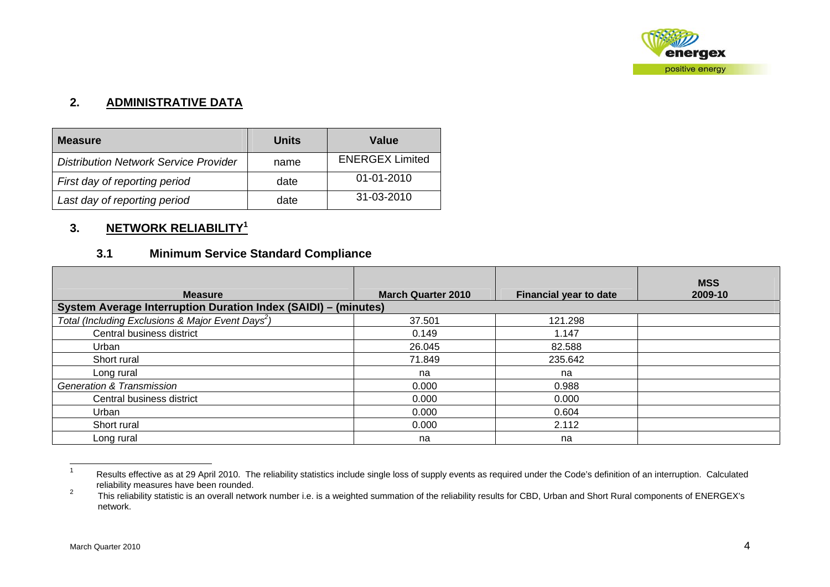

# **2. ADMINISTRATIVE DATA**

| <b>Measure</b>                               | Units | Value                  |
|----------------------------------------------|-------|------------------------|
| <b>Distribution Network Service Provider</b> | name  | <b>ENERGEX Limited</b> |
| First day of reporting period                | date  | $01 - 01 - 2010$       |
| Last day of reporting period                 | date  | 31-03-2010             |

# **3. NETWORK RELIABILITY<sup>1</sup>**

# **3.1 Minimum Service Standard Compliance**

| <b>Measure</b>                                                        | <b>March Quarter 2010</b> | <b>Financial year to date</b> | <b>MSS</b><br>2009-10 |
|-----------------------------------------------------------------------|---------------------------|-------------------------------|-----------------------|
| <b>System Average Interruption Duration Index (SAIDI) - (minutes)</b> |                           |                               |                       |
| Total (Including Exclusions & Major Event Days <sup>2</sup> )         | 37.501                    | 121.298                       |                       |
| Central business district                                             | 0.149                     | 1.147                         |                       |
| Urban                                                                 | 26.045                    | 82.588                        |                       |
| Short rural                                                           | 71.849                    | 235.642                       |                       |
| Long rural                                                            | na                        | na                            |                       |
| <b>Generation &amp; Transmission</b>                                  | 0.000                     | 0.988                         |                       |
| Central business district                                             | 0.000                     | 0.000                         |                       |
| Urban                                                                 | 0.000                     | 0.604                         |                       |
| Short rural                                                           | 0.000                     | 2.112                         |                       |
| Long rural                                                            | na                        | na                            |                       |

<sup>1</sup> Results effective as at 29 April 2010. The reliability statistics include single loss of supply events as required under the Code's definition of an interruption. Calculated reliability measures have been rounded.<br><sup>2</sup> This reliability statistic is an overall nature

This reliability statistic is an overall network number i.e. is a weighted summation of the reliability results for CBD, Urban and Short Rural components of ENERGEX's network.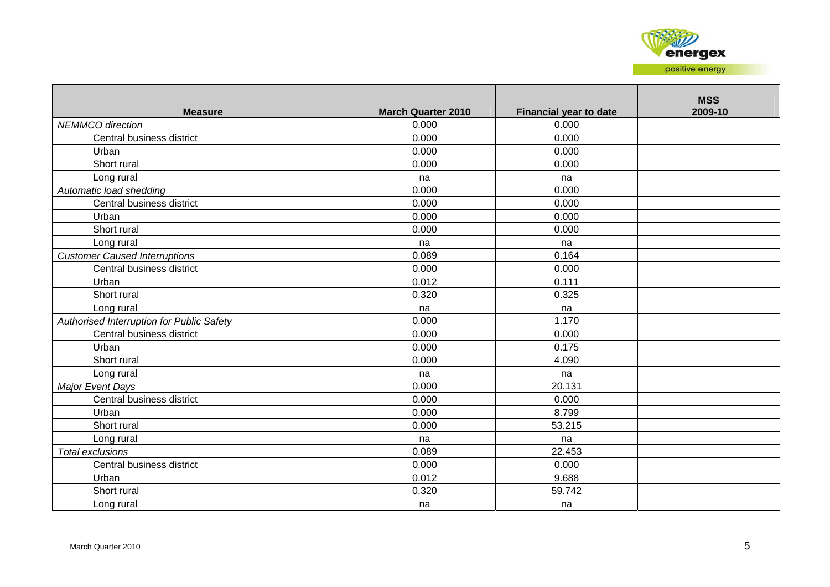

| <b>Measure</b>                            | <b>March Quarter 2010</b> | <b>Financial year to date</b> | <b>MSS</b><br>2009-10 |
|-------------------------------------------|---------------------------|-------------------------------|-----------------------|
| <b>NEMMCO</b> direction                   | 0.000                     | 0.000                         |                       |
| Central business district                 | 0.000                     | 0.000                         |                       |
| Urban                                     | 0.000                     | 0.000                         |                       |
| Short rural                               | 0.000                     | 0.000                         |                       |
| Long rural                                | na                        | na                            |                       |
| Automatic load shedding                   | 0.000                     | 0.000                         |                       |
| Central business district                 | 0.000                     | 0.000                         |                       |
| Urban                                     | 0.000                     | 0.000                         |                       |
| Short rural                               | 0.000                     | 0.000                         |                       |
| Long rural                                | na                        | na                            |                       |
| <b>Customer Caused Interruptions</b>      | 0.089                     | 0.164                         |                       |
| Central business district                 | 0.000                     | 0.000                         |                       |
| Urban                                     | 0.012                     | 0.111                         |                       |
| Short rural                               | 0.320                     | 0.325                         |                       |
| Long rural                                | na                        | na                            |                       |
| Authorised Interruption for Public Safety | 0.000                     | 1.170                         |                       |
| Central business district                 | 0.000                     | 0.000                         |                       |
| Urban                                     | 0.000                     | 0.175                         |                       |
| Short rural                               | 0.000                     | 4.090                         |                       |
| Long rural                                | na                        | na                            |                       |
| <b>Major Event Days</b>                   | 0.000                     | 20.131                        |                       |
| Central business district                 | 0.000                     | 0.000                         |                       |
| Urban                                     | 0.000                     | 8.799                         |                       |
| Short rural                               | 0.000                     | 53.215                        |                       |
| Long rural                                | na                        | na                            |                       |
| Total exclusions                          | 0.089                     | 22.453                        |                       |
| Central business district                 | 0.000                     | 0.000                         |                       |
| Urban                                     | 0.012                     | 9.688                         |                       |
| Short rural                               | 0.320                     | 59.742                        |                       |
| Long rural                                | na                        | na                            |                       |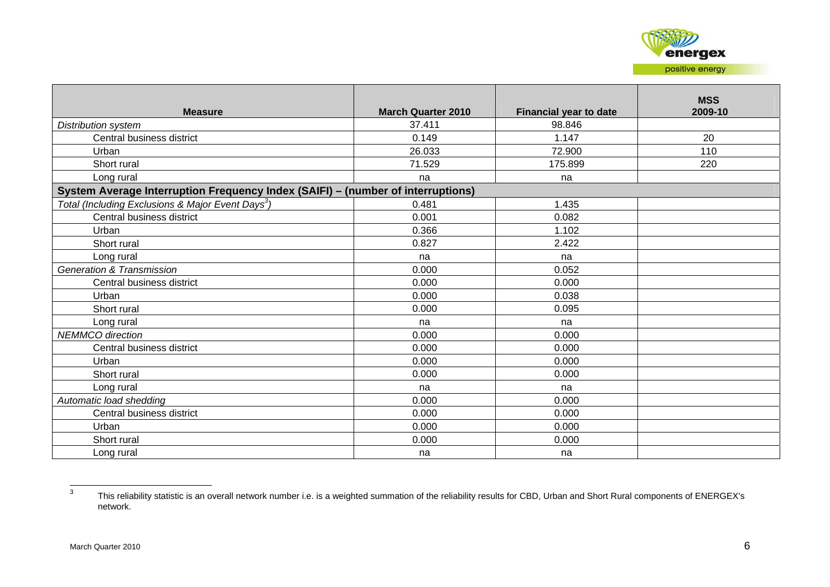

| <b>Measure</b>                                                                  | <b>March Quarter 2010</b> | <b>Financial year to date</b> | <b>MSS</b><br>2009-10 |
|---------------------------------------------------------------------------------|---------------------------|-------------------------------|-----------------------|
| Distribution system                                                             | 37.411                    | 98.846                        |                       |
| Central business district                                                       | 0.149                     | 1.147                         | 20                    |
| Urban                                                                           | 26.033                    | 72.900                        | 110                   |
| Short rural                                                                     | 71.529                    | 175.899                       | 220                   |
| Long rural                                                                      | na                        | na                            |                       |
| System Average Interruption Frequency Index (SAIFI) - (number of interruptions) |                           |                               |                       |
| Total (Including Exclusions & Major Event Days <sup>3</sup> )                   | 0.481                     | 1.435                         |                       |
| Central business district                                                       | 0.001                     | 0.082                         |                       |
| Urban                                                                           | 0.366                     | 1.102                         |                       |
| Short rural                                                                     | 0.827                     | 2.422                         |                       |
| Long rural                                                                      | na                        | na                            |                       |
| <b>Generation &amp; Transmission</b>                                            | 0.000                     | 0.052                         |                       |
| Central business district                                                       | 0.000                     | 0.000                         |                       |
| Urban                                                                           | 0.000                     | 0.038                         |                       |
| Short rural                                                                     | 0.000                     | 0.095                         |                       |
| Long rural                                                                      | na                        | na                            |                       |
| <b>NEMMCO</b> direction                                                         | 0.000                     | 0.000                         |                       |
| Central business district                                                       | 0.000                     | 0.000                         |                       |
| Urban                                                                           | 0.000                     | 0.000                         |                       |
| Short rural                                                                     | 0.000                     | 0.000                         |                       |
| Long rural                                                                      | na                        | na                            |                       |
| Automatic load shedding                                                         | 0.000                     | 0.000                         |                       |
| Central business district                                                       | 0.000                     | 0.000                         |                       |
| Urban                                                                           | 0.000                     | 0.000                         |                       |
| Short rural                                                                     | 0.000                     | 0.000                         |                       |
| Long rural                                                                      | na                        | na                            |                       |

<sup>3</sup> This reliability statistic is an overall network number i.e. is a weighted summation of the reliability results for CBD, Urban and Short Rural components of ENERGEX's network.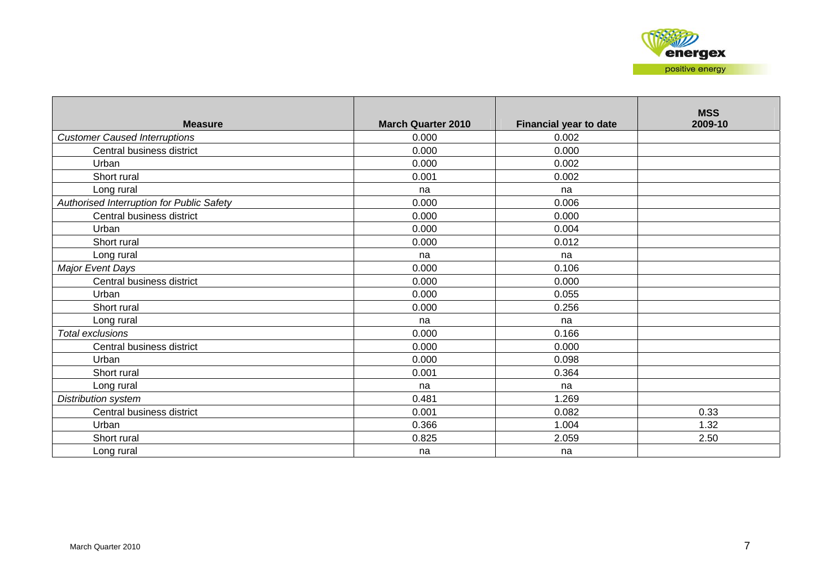| <b>Measure</b>                            | <b>March Quarter 2010</b> | <b>Financial year to date</b> | <b>MSS</b><br>2009-10 |
|-------------------------------------------|---------------------------|-------------------------------|-----------------------|
| <b>Customer Caused Interruptions</b>      | 0.000                     | 0.002                         |                       |
| Central business district                 | 0.000                     | 0.000                         |                       |
| Urban                                     | 0.000                     | 0.002                         |                       |
| Short rural                               | 0.001                     | 0.002                         |                       |
| Long rural                                | na                        | na                            |                       |
| Authorised Interruption for Public Safety | 0.000                     | 0.006                         |                       |
| Central business district                 | 0.000                     | 0.000                         |                       |
| Urban                                     | 0.000                     | 0.004                         |                       |
| Short rural                               | 0.000                     | 0.012                         |                       |
| Long rural                                | na                        | na                            |                       |
| Major Event Days                          | 0.000                     | 0.106                         |                       |
| Central business district                 | 0.000                     | 0.000                         |                       |
| Urban                                     | 0.000                     | 0.055                         |                       |
| Short rural                               | 0.000                     | 0.256                         |                       |
| Long rural                                | na                        | na                            |                       |
| <b>Total exclusions</b>                   | 0.000                     | 0.166                         |                       |
| Central business district                 | 0.000                     | 0.000                         |                       |
| Urban                                     | 0.000                     | 0.098                         |                       |
| Short rural                               | 0.001                     | 0.364                         |                       |
| Long rural                                | na                        | na                            |                       |
| Distribution system                       | 0.481                     | 1.269                         |                       |
| Central business district                 | 0.001                     | 0.082                         | 0.33                  |
| Urban                                     | 0.366                     | 1.004                         | 1.32                  |
| Short rural                               | 0.825                     | 2.059                         | 2.50                  |
| Long rural                                | na                        | na                            |                       |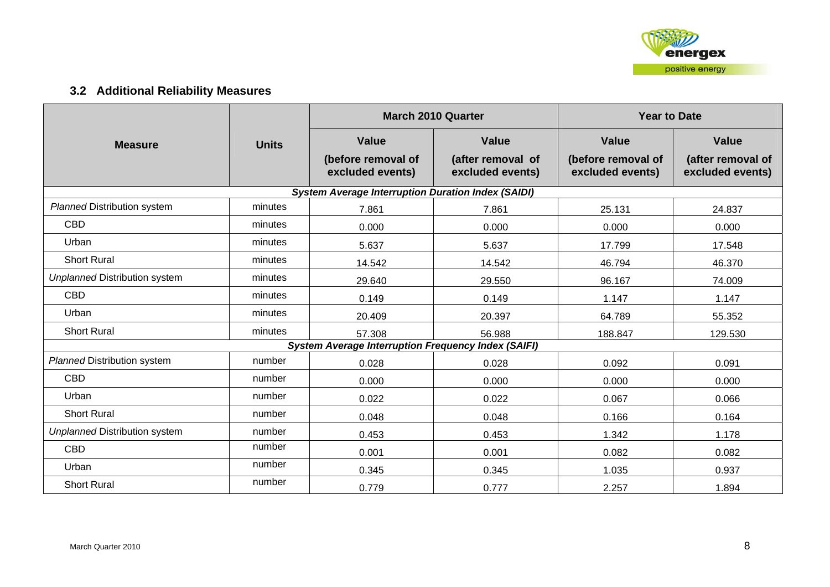

# **3.2 Additional Reliability Measures**

|                                      |              |                                                           | <b>March 2010 Quarter</b>             | <b>Year to Date</b>                    |                                       |  |
|--------------------------------------|--------------|-----------------------------------------------------------|---------------------------------------|----------------------------------------|---------------------------------------|--|
| <b>Measure</b>                       | <b>Units</b> | <b>Value</b>                                              | <b>Value</b>                          | <b>Value</b>                           | <b>Value</b>                          |  |
|                                      |              | (before removal of<br>excluded events)                    | (after removal of<br>excluded events) | (before removal of<br>excluded events) | (after removal of<br>excluded events) |  |
|                                      |              | <b>System Average Interruption Duration Index (SAIDI)</b> |                                       |                                        |                                       |  |
| <b>Planned Distribution system</b>   | minutes      | 7.861                                                     | 7.861                                 | 25.131                                 | 24.837                                |  |
| <b>CBD</b>                           | minutes      | 0.000                                                     | 0.000                                 | 0.000                                  | 0.000                                 |  |
| Urban                                | minutes      | 5.637                                                     | 5.637                                 | 17.799                                 | 17.548                                |  |
| <b>Short Rural</b>                   | minutes      | 14.542                                                    | 14.542                                | 46.794                                 | 46.370                                |  |
| <b>Unplanned Distribution system</b> | minutes      | 29.640                                                    | 29.550                                | 96.167                                 | 74.009                                |  |
| <b>CBD</b>                           | minutes      | 0.149                                                     | 0.149                                 | 1.147                                  | 1.147                                 |  |
| Urban                                | minutes      | 20.409                                                    | 20.397                                | 64.789                                 | 55.352                                |  |
| <b>Short Rural</b>                   | minutes      | 57.308                                                    | 56.988                                | 188.847                                | 129.530                               |  |
|                                      |              |                                                           |                                       |                                        |                                       |  |
| <b>Planned Distribution system</b>   | number       | 0.028                                                     | 0.028                                 | 0.092                                  | 0.091                                 |  |
| <b>CBD</b>                           | number       | 0.000                                                     | 0.000                                 | 0.000                                  | 0.000                                 |  |
| Urban                                | number       | 0.022                                                     | 0.022                                 | 0.067                                  | 0.066                                 |  |
| <b>Short Rural</b>                   | number       | 0.048                                                     | 0.048                                 | 0.166                                  | 0.164                                 |  |
| <b>Unplanned Distribution system</b> | number       | 0.453                                                     | 0.453                                 | 1.342                                  | 1.178                                 |  |
| <b>CBD</b>                           | number       | 0.001                                                     | 0.001                                 | 0.082                                  | 0.082                                 |  |
| Urban                                | number       | 0.345                                                     | 0.345                                 | 1.035                                  | 0.937                                 |  |
| <b>Short Rural</b>                   | number       | 0.779                                                     | 0.777                                 | 2.257                                  | 1.894                                 |  |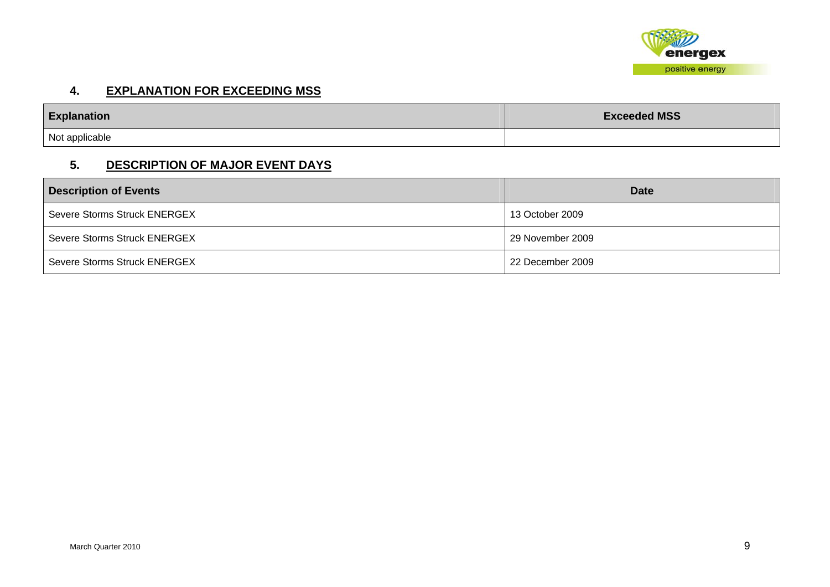

## **4. EXPLANATION FOR EXCEEDING MSS**

| <b>Explanation</b> | <b>Exceeded MSS</b> |
|--------------------|---------------------|
| Not applicable     |                     |

# **5. DESCRIPTION OF MAJOR EVENT DAYS**

| <b>Description of Events</b> | <b>Date</b>      |
|------------------------------|------------------|
| Severe Storms Struck ENERGEX | 13 October 2009  |
| Severe Storms Struck ENERGEX | 29 November 2009 |
| Severe Storms Struck ENERGEX | 22 December 2009 |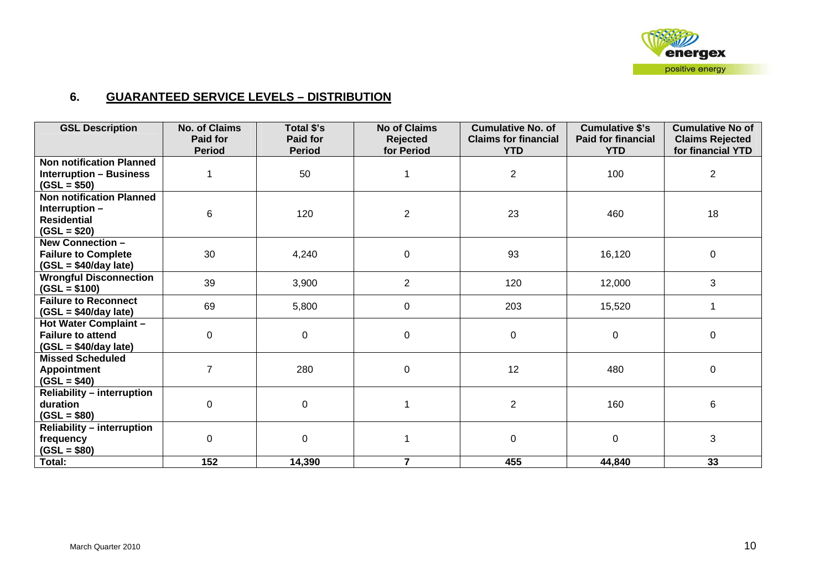

## **6. GUARANTEED SERVICE LEVELS – DISTRIBUTION**

| <b>GSL Description</b>                                                      | <b>No. of Claims</b><br>Paid for | Total \$'s<br><b>Paid for</b> | <b>No of Claims</b><br><b>Rejected</b> | <b>Cumulative No. of</b><br><b>Claims for financial</b> | <b>Cumulative \$'s</b><br><b>Paid for financial</b> | <b>Cumulative No of</b><br><b>Claims Rejected</b> |
|-----------------------------------------------------------------------------|----------------------------------|-------------------------------|----------------------------------------|---------------------------------------------------------|-----------------------------------------------------|---------------------------------------------------|
|                                                                             | <b>Period</b>                    | <b>Period</b>                 | for Period                             | <b>YTD</b>                                              | <b>YTD</b>                                          | for financial YTD                                 |
| <b>Non notification Planned</b>                                             |                                  |                               |                                        |                                                         |                                                     |                                                   |
| <b>Interruption - Business</b><br>$(GSL = $50)$                             |                                  | 50                            |                                        | $\overline{2}$                                          | 100                                                 | $\overline{2}$                                    |
| <b>Non notification Planned</b>                                             |                                  |                               |                                        |                                                         |                                                     |                                                   |
| Interruption-                                                               | 6                                | 120                           | $\overline{c}$                         | 23                                                      | 460                                                 | 18                                                |
| <b>Residential</b><br>$(GSL = $20)$                                         |                                  |                               |                                        |                                                         |                                                     |                                                   |
| $\overline{\text{New}}$ Connection -                                        |                                  |                               |                                        |                                                         |                                                     |                                                   |
| <b>Failure to Complete</b><br>$(GSL = $40/day$ late)                        | 30                               | 4,240                         | 0                                      | 93                                                      | 16,120                                              | $\mathbf 0$                                       |
| <b>Wrongful Disconnection</b><br>$(GSL = $100)$                             | 39                               | 3,900                         | $\overline{2}$                         | 120                                                     | 12,000                                              | 3                                                 |
| <b>Failure to Reconnect</b><br>$(GSL = $40/day$ late)                       | 69                               | 5,800                         | 0                                      | 203                                                     | 15,520                                              | 1                                                 |
| Hot Water Complaint -<br><b>Failure to attend</b><br>$(GSL = $40/day$ late) | 0                                | 0                             | 0                                      | 0                                                       | $\mathbf 0$                                         | $\mathbf 0$                                       |
| <b>Missed Scheduled</b><br><b>Appointment</b><br>$(GSL = $40)$              | $\overline{7}$                   | 280                           | 0                                      | 12                                                      | 480                                                 | $\pmb{0}$                                         |
| <b>Reliability - interruption</b><br>duration<br>$(GSL = $80)$              | 0                                | $\mathbf 0$                   |                                        | $\overline{2}$                                          | 160                                                 | $\,6\,$                                           |
| <b>Reliability - interruption</b><br>frequency<br>$(GSL = $80)$             | $\Omega$                         | 0                             |                                        | 0                                                       | 0                                                   | 3                                                 |
| Total:                                                                      | 152                              | 14,390                        | 7                                      | 455                                                     | 44,840                                              | 33                                                |